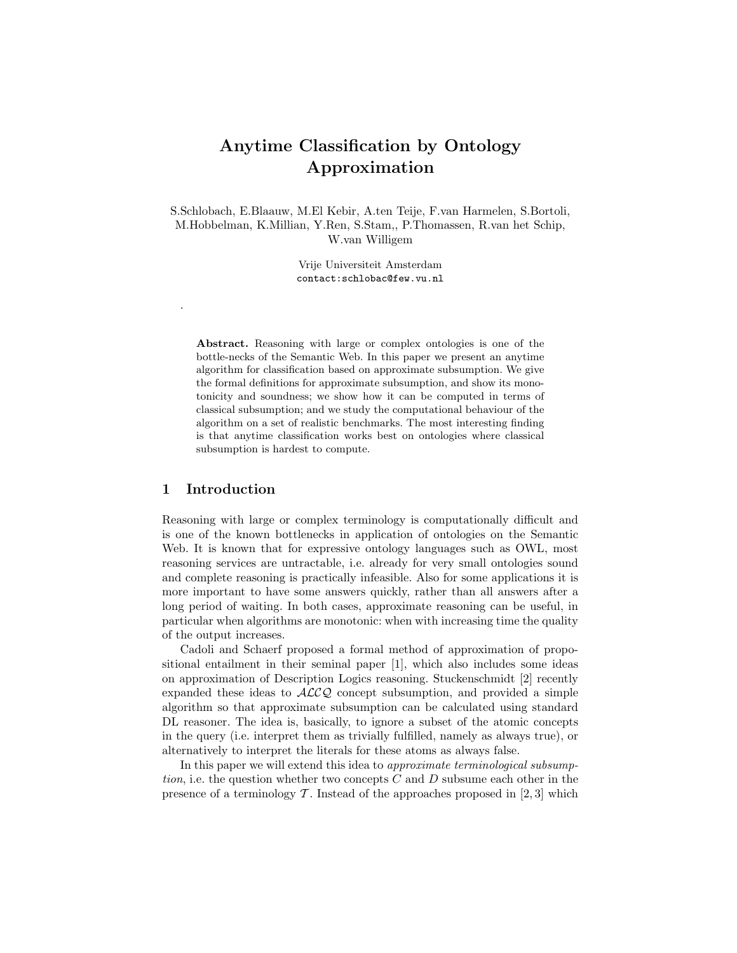## Anytime Classification by Ontology Approximation

S.Schlobach, E.Blaauw, M.El Kebir, A.ten Teije, F.van Harmelen, S.Bortoli, M.Hobbelman, K.Millian, Y.Ren, S.Stam,, P.Thomassen, R.van het Schip, W.van Willigem

> Vrije Universiteit Amsterdam contact:schlobac@few.vu.nl

Abstract. Reasoning with large or complex ontologies is one of the bottle-necks of the Semantic Web. In this paper we present an anytime algorithm for classification based on approximate subsumption. We give the formal definitions for approximate subsumption, and show its monotonicity and soundness; we show how it can be computed in terms of classical subsumption; and we study the computational behaviour of the algorithm on a set of realistic benchmarks. The most interesting finding is that anytime classification works best on ontologies where classical subsumption is hardest to compute.

## 1 Introduction

.

Reasoning with large or complex terminology is computationally difficult and is one of the known bottlenecks in application of ontologies on the Semantic Web. It is known that for expressive ontology languages such as OWL, most reasoning services are untractable, i.e. already for very small ontologies sound and complete reasoning is practically infeasible. Also for some applications it is more important to have some answers quickly, rather than all answers after a long period of waiting. In both cases, approximate reasoning can be useful, in particular when algorithms are monotonic: when with increasing time the quality of the output increases.

Cadoli and Schaerf proposed a formal method of approximation of propositional entailment in their seminal paper [1], which also includes some ideas on approximation of Description Logics reasoning. Stuckenschmidt [2] recently expanded these ideas to  $ALCQ$  concept subsumption, and provided a simple algorithm so that approximate subsumption can be calculated using standard DL reasoner. The idea is, basically, to ignore a subset of the atomic concepts in the query (i.e. interpret them as trivially fulfilled, namely as always true), or alternatively to interpret the literals for these atoms as always false.

In this paper we will extend this idea to *approximate terminological subsump*tion, i.e. the question whether two concepts  $C$  and  $D$  subsume each other in the presence of a terminology  $\mathcal T$ . Instead of the approaches proposed in [2,3] which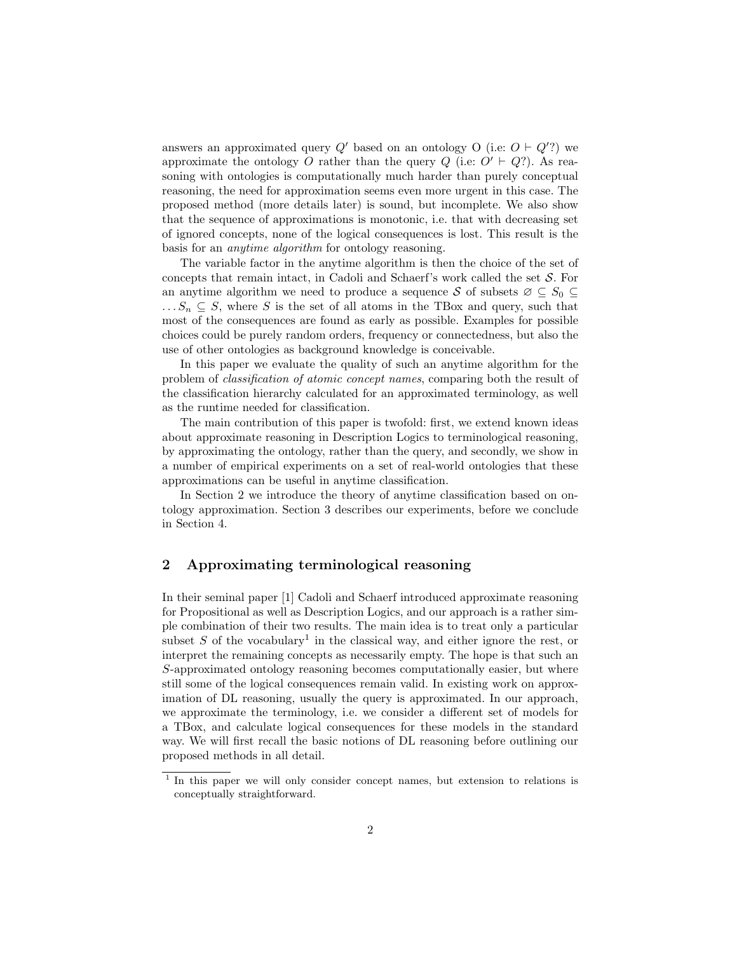answers an approximated query  $Q'$  based on an ontology O (i.e:  $O \vdash Q'$ ?) we approximate the ontology O rather than the query  $Q$  (i.e:  $O' \vdash Q$ ?). As reasoning with ontologies is computationally much harder than purely conceptual reasoning, the need for approximation seems even more urgent in this case. The proposed method (more details later) is sound, but incomplete. We also show that the sequence of approximations is monotonic, i.e. that with decreasing set of ignored concepts, none of the logical consequences is lost. This result is the basis for an anytime algorithm for ontology reasoning.

The variable factor in the anytime algorithm is then the choice of the set of concepts that remain intact, in Cadoli and Schaerf's work called the set  $S$ . For an anytime algorithm we need to produce a sequence S of subsets  $\varnothing \subset S_0 \subset$  $\ldots S_n \subseteq S$ , where S is the set of all atoms in the TBox and query, such that most of the consequences are found as early as possible. Examples for possible choices could be purely random orders, frequency or connectedness, but also the use of other ontologies as background knowledge is conceivable.

In this paper we evaluate the quality of such an anytime algorithm for the problem of classification of atomic concept names, comparing both the result of the classification hierarchy calculated for an approximated terminology, as well as the runtime needed for classification.

The main contribution of this paper is twofold: first, we extend known ideas about approximate reasoning in Description Logics to terminological reasoning, by approximating the ontology, rather than the query, and secondly, we show in a number of empirical experiments on a set of real-world ontologies that these approximations can be useful in anytime classification.

In Section 2 we introduce the theory of anytime classification based on ontology approximation. Section 3 describes our experiments, before we conclude in Section 4.

## 2 Approximating terminological reasoning

In their seminal paper [1] Cadoli and Schaerf introduced approximate reasoning for Propositional as well as Description Logics, and our approach is a rather simple combination of their two results. The main idea is to treat only a particular subset  $S$  of the vocabulary<sup>1</sup> in the classical way, and either ignore the rest, or interpret the remaining concepts as necessarily empty. The hope is that such an S-approximated ontology reasoning becomes computationally easier, but where still some of the logical consequences remain valid. In existing work on approximation of DL reasoning, usually the query is approximated. In our approach, we approximate the terminology, i.e. we consider a different set of models for a TBox, and calculate logical consequences for these models in the standard way. We will first recall the basic notions of DL reasoning before outlining our proposed methods in all detail.

<sup>&</sup>lt;sup>1</sup> In this paper we will only consider concept names, but extension to relations is conceptually straightforward.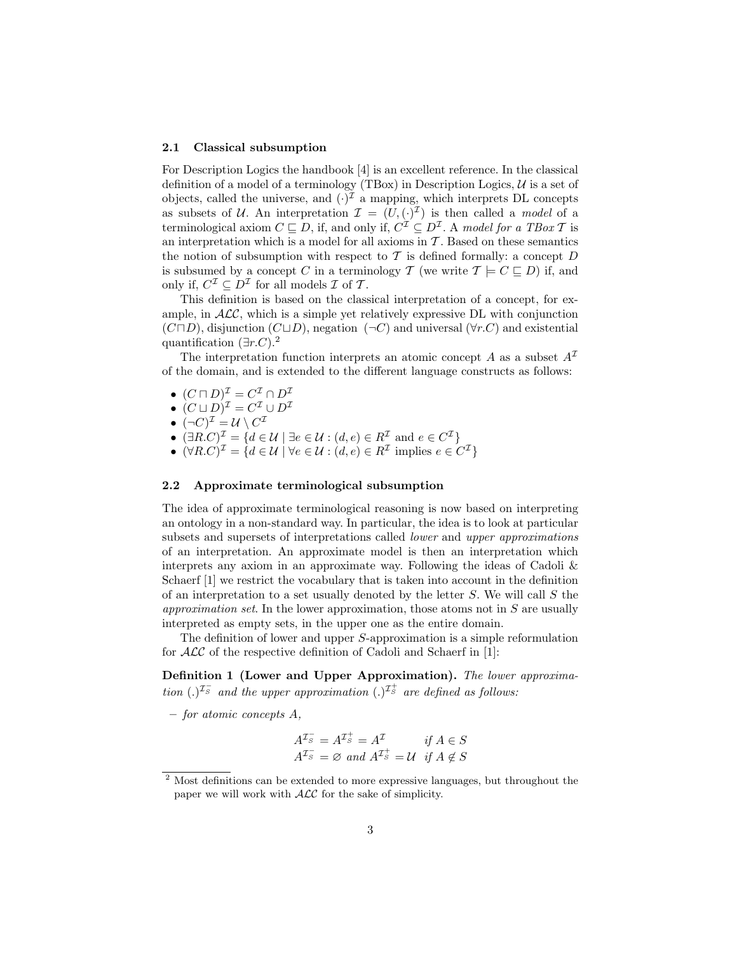#### 2.1 Classical subsumption

For Description Logics the handbook [4] is an excellent reference. In the classical definition of a model of a terminology (TBox) in Description Logics,  $U$  is a set of objects, called the universe, and  $(\cdot)^{\mathcal{I}}$  a mapping, which interprets DL concepts as subsets of U. An interpretation  $\mathcal{I} = (U, (\cdot)^{\mathcal{I}})$  is then called a *model* of a terminological axiom  $C \sqsubseteq D$ , if, and only if,  $C^{\mathcal{I}} \subseteq D^{\mathcal{I}}$ . A model for a TBox T is an interpretation which is a model for all axioms in  $\mathcal T$ . Based on these semantics the notion of subsumption with respect to  $\mathcal T$  is defined formally: a concept  $D$ is subsumed by a concept C in a terminology T (we write  $\mathcal{T} \models C \sqsubseteq D$ ) if, and only if,  $C^{\mathcal{I}} \subseteq D^{\mathcal{I}}$  for all models  $\mathcal I$  of  $\mathcal T$ .

This definition is based on the classical interpretation of a concept, for example, in  $ALC$ , which is a simple yet relatively expressive DL with conjunction  $(C \sqcap D)$ , disjunction  $(C \sqcup D)$ , negation  $(\neg C)$  and universal  $(\forall r.C)$  and existential quantification  $(\exists r.C).^2$ 

The interpretation function interprets an atomic concept A as a subset  $A<sup>\mathcal{I}</sup>$ </sup> of the domain, and is extended to the different language constructs as follows:

- $\bullet \ \ (C\sqcap D)^{\mathcal{I}}=C^{\mathcal{I}}\cap D^{\mathcal{I}}$
- $\bullet \ (C \sqcup D)^{\mathcal{I}} = C^{\mathcal{I}} \cup D^{\mathcal{I}}$
- $\bullet \ (\neg C)^{\mathcal{I}} = \mathcal{U} \setminus C^{\mathcal{I}}$
- $(\exists R.C)^{\mathcal{I}} = \{d \in \mathcal{U} \mid \exists e \in \mathcal{U} : (d,e) \in R^{\mathcal{I}} \text{ and } e \in C^{\mathcal{I}}\}\$
- $(\forall R.C)^{\mathcal{I}} = \{d \in \mathcal{U} \mid \forall e \in \mathcal{U} : (d, e) \in R^{\mathcal{I}} \text{ implies } e \in C^{\mathcal{I}}\}\$

### 2.2 Approximate terminological subsumption

The idea of approximate terminological reasoning is now based on interpreting an ontology in a non-standard way. In particular, the idea is to look at particular subsets and supersets of interpretations called *lower* and *upper approximations* of an interpretation. An approximate model is then an interpretation which interprets any axiom in an approximate way. Following the ideas of Cadoli  $\&$ Schaerf [1] we restrict the vocabulary that is taken into account in the definition of an interpretation to a set usually denoted by the letter  $S$ . We will call  $S$  the approximation set. In the lower approximation, those atoms not in  $S$  are usually interpreted as empty sets, in the upper one as the entire domain.

The definition of lower and upper S-approximation is a simple reformulation for ALC of the respective definition of Cadoli and Schaerf in [1]:

Definition 1 (Lower and Upper Approximation). The lower approximation (.)<sup> $\mathcal{I}_{S}^{\pm}$ </sup> and the upper approximation (.)<sup> $\mathcal{I}_{S}^{\pm}$ </sup> are defined as follows:

– for atomic concepts A,

$$
A^{\mathcal{I}_S^-} = A^{\mathcal{I}_S^+} = A^{\mathcal{I}} \qquad \text{if } A \in S
$$
  

$$
A^{\mathcal{I}_S^-} = \varnothing \text{ and } A^{\mathcal{I}_S^+} = \mathcal{U} \text{ if } A \notin S
$$

<sup>&</sup>lt;sup>2</sup> Most definitions can be extended to more expressive languages, but throughout the paper we will work with  $\mathcal{ALC}$  for the sake of simplicity.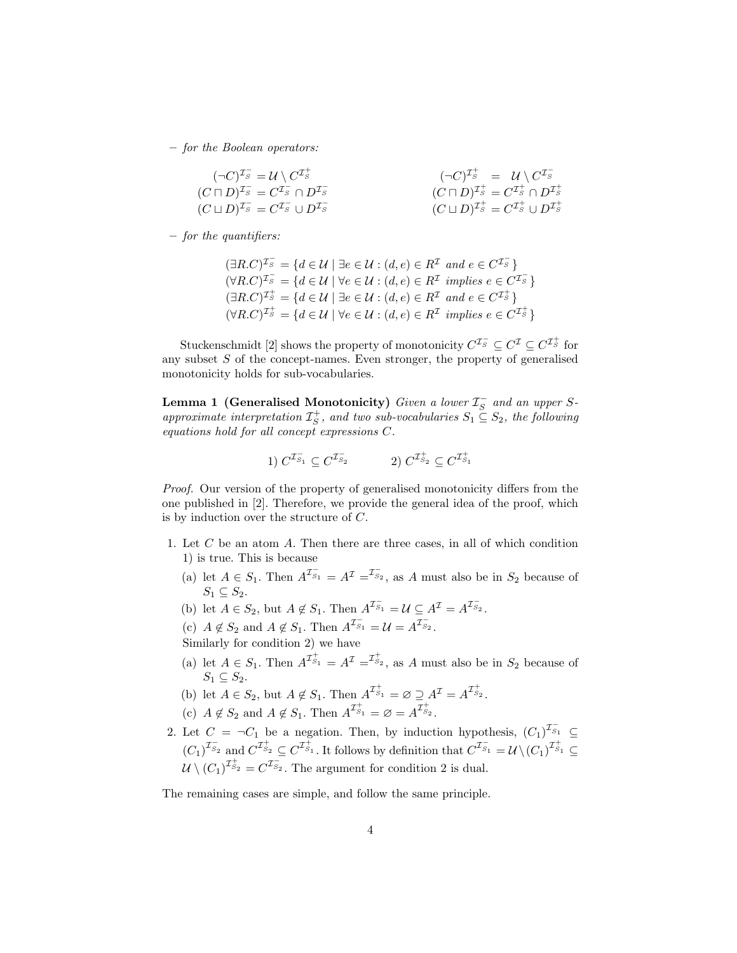– for the Boolean operators:

$$
(\neg C)^{\mathcal{I}_S^-} = \mathcal{U} \setminus C^{\mathcal{I}_S^+} (C \sqcap D)^{\mathcal{I}_S^-} = C^{\mathcal{I}_S^-} \cap D^{\mathcal{I}_S^-} (C \sqcup D)^{\mathcal{I}_S^-} = C^{\mathcal{I}_S^-} \cup D^{\mathcal{I}_S^-}
$$
  
(C \sqcup D)^{\mathcal{I}\_S^+} = C^{\mathcal{I}\_S^+} \cup D^{\mathcal{I}\_S^+}   
(C \sqcup D)^{\mathcal{I}\_S^+} = C^{\mathcal{I}\_S^+} \cup D^{\mathcal{I}\_S^+}

– for the quantifiers:

$$
(\exists R.C)^{\mathcal{I}_S^-} = \{d \in \mathcal{U} \mid \exists e \in \mathcal{U} : (d,e) \in R^{\mathcal{I}} \text{ and } e \in C^{\mathcal{I}_S^-}\}
$$
  

$$
(\forall R.C)^{\mathcal{I}_S^-} = \{d \in \mathcal{U} \mid \forall e \in \mathcal{U} : (d,e) \in R^{\mathcal{I}} \text{ implies } e \in C^{\mathcal{I}_S^-}\}
$$
  

$$
(\exists R.C)^{\mathcal{I}_S^+} = \{d \in \mathcal{U} \mid \exists e \in \mathcal{U} : (d,e) \in R^{\mathcal{I}} \text{ and } e \in C^{\mathcal{I}_S^+}\}
$$
  

$$
(\forall R.C)^{\mathcal{I}_S^+} = \{d \in \mathcal{U} \mid \forall e \in \mathcal{U} : (d,e) \in R^{\mathcal{I}} \text{ implies } e \in C^{\mathcal{I}_S^+}\}
$$

Stuckenschmidt [2] shows the property of monotonicity  $C^{\mathcal{I}_S^-} \subseteq C^{\mathcal{I}} \subseteq C^{\mathcal{I}_S^+}$  for any subset  $S$  of the concept-names. Even stronger, the property of generalised monotonicity holds for sub-vocabularies.

Lemma 1 (Generalised Monotonicity) Given a lower  $\mathcal{I}_S^-$  and an upper Sapproximate interpretation  $\mathcal{I}_{S}^+$ , and two sub-vocabularies  $S_1 \subseteq S_2$ , the following equations hold for all concept expressions C.

1) 
$$
C^{\mathcal{I}_{S_1}} \subseteq C^{\mathcal{I}_{S_2}^{-}}
$$
 2)  $C^{\mathcal{I}_{S_2}^{+}} \subseteq C^{\mathcal{I}_{S_1}^{+}}$ 

Proof. Our version of the property of generalised monotonicity differs from the one published in [2]. Therefore, we provide the general idea of the proof, which is by induction over the structure of C.

- 1. Let C be an atom A. Then there are three cases, in all of which condition 1) is true. This is because
	- (a) let  $A \in S_1$ . Then  $A^{\mathcal{I}_{S_1}} = A^{\mathcal{I}} = \mathcal{I}_{S_2}$ , as A must also be in  $S_2$  because of  $S_1 \subset S_2$ .
	- (b) let  $A \in S_2$ , but  $A \notin S_1$ . Then  $A^{\overline{I}_{S_1}} = \mathcal{U} \subseteq A^{\mathcal{I}} = A^{\overline{I}_{S_2}}$ .
	- (c)  $A \notin S_2$  and  $A \notin S_1$ . Then  $A^{\mathcal{I}_{S_1}} = \mathcal{U} = A^{\mathcal{I}_{S_2}}$ .
	- Similarly for condition 2) we have
	- (a) let  $A \in S_1$ . Then  $A^{\mathcal{I}_{S_1}^+} = A^{\mathcal{I}} = \mathcal{I}_{S_2}^+$ , as A must also be in  $S_2$  because of  $S_1 \subset S_2$ .
	- (b) let  $A \in S_2$ , but  $A \notin S_1$ . Then  $A^{\mathcal{I}_{S_1}^+} = \emptyset \supseteq A^{\mathcal{I}} = A^{\mathcal{I}_{S_2}^+}$ .
	- (c)  $A \notin S_2$  and  $A \notin S_1$ . Then  $A^{\mathcal{I}_{S_1}^+} = \varnothing = A^{\mathcal{I}_{S_2}^+}$ .
- 2. Let  $C = \neg C_1$  be a negation. Then, by induction hypothesis,  $(C_1)^{\mathcal{I}_{S_1}} \subseteq$  $(C_1)^{\mathcal{I}_{S_2}^-}$  and  $C^{\mathcal{I}_{S_1}^+} \subseteq C^{\mathcal{I}_{S_1}^+}$ . It follows by definition that  $C^{\mathcal{I}_{S_1}^-} = \mathcal{U} \setminus (C_1)^{\mathcal{I}_{S_1}^+} \subseteq$  $\mathcal{U} \setminus (C_1)^{\mathcal{I}_{S_2}^+} = C^{\mathcal{I}_{S_2}^-}$ . The argument for condition 2 is dual.

The remaining cases are simple, and follow the same principle.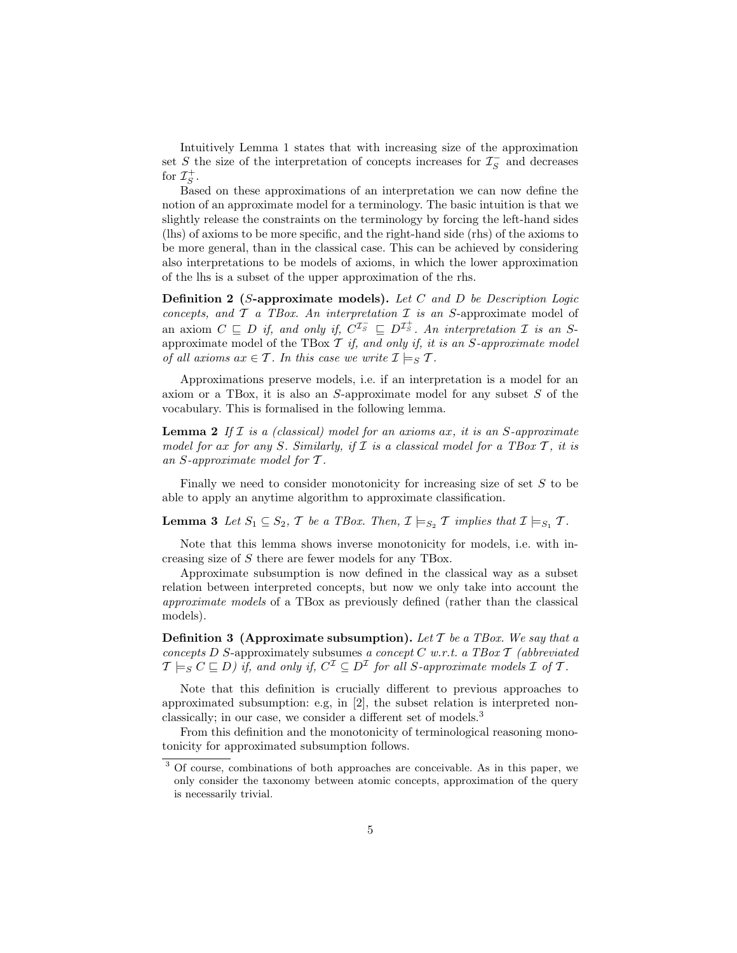Intuitively Lemma 1 states that with increasing size of the approximation set S the size of the interpretation of concepts increases for  $\mathcal{I}_S^-$  and decreases for  $\mathcal{I}_S^+$ .

Based on these approximations of an interpretation we can now define the notion of an approximate model for a terminology. The basic intuition is that we slightly release the constraints on the terminology by forcing the left-hand sides (lhs) of axioms to be more specific, and the right-hand side (rhs) of the axioms to be more general, than in the classical case. This can be achieved by considering also interpretations to be models of axioms, in which the lower approximation of the lhs is a subset of the upper approximation of the rhs.

**Definition 2** (S-approximate models). Let C and D be Description Logic concepts, and  $\mathcal T$  a TBox. An interpretation  $\mathcal I$  is an S-approximate model of an axiom  $C \subseteq D$  if, and only if,  $C^{\mathcal{I}_S^-} \subseteq D^{\mathcal{I}_S^+}$ . An interpretation  $\mathcal I$  is an Sapproximate model of the TBox  $\mathcal T$  if, and only if, it is an S-approximate model of all axioms  $ax \in \mathcal{T}$ . In this case we write  $\mathcal{I} \models_S \mathcal{T}$ .

Approximations preserve models, i.e. if an interpretation is a model for an axiom or a TBox, it is also an  $S$ -approximate model for any subset  $S$  of the vocabulary. This is formalised in the following lemma.

**Lemma 2** If  $I$  is a (classical) model for an axioms ax, it is an  $S$ -approximate model for ax for any S. Similarly, if  $\mathcal I$  is a classical model for a TBox  $\mathcal T$ , it is an S-approximate model for T .

Finally we need to consider monotonicity for increasing size of set  $S$  to be able to apply an anytime algorithm to approximate classification.

**Lemma 3** Let  $S_1 \subseteq S_2$ , T be a TBox. Then,  $\mathcal{I} \models_{S_2} \mathcal{T}$  implies that  $\mathcal{I} \models_{S_1} \mathcal{T}$ .

Note that this lemma shows inverse monotonicity for models, i.e. with increasing size of S there are fewer models for any TBox.

Approximate subsumption is now defined in the classical way as a subset relation between interpreted concepts, but now we only take into account the approximate models of a TBox as previously defined (rather than the classical models).

**Definition 3** (Approximate subsumption). Let T be a TBox. We say that a concepts D S-approximately subsumes a concept C w.r.t. a TBox  $\mathcal T$  (abbreviated  $\mathcal{T} \models_S C \sqsubseteq D)$  if, and only if,  $C^{\mathcal{I}} \subseteq D^{\mathcal{I}}$  for all S-approximate models  $\mathcal I$  of  $\mathcal T$ .

Note that this definition is crucially different to previous approaches to approximated subsumption: e.g, in [2], the subset relation is interpreted nonclassically; in our case, we consider a different set of models.<sup>3</sup>

From this definition and the monotonicity of terminological reasoning monotonicity for approximated subsumption follows.

<sup>3</sup> Of course, combinations of both approaches are conceivable. As in this paper, we only consider the taxonomy between atomic concepts, approximation of the query is necessarily trivial.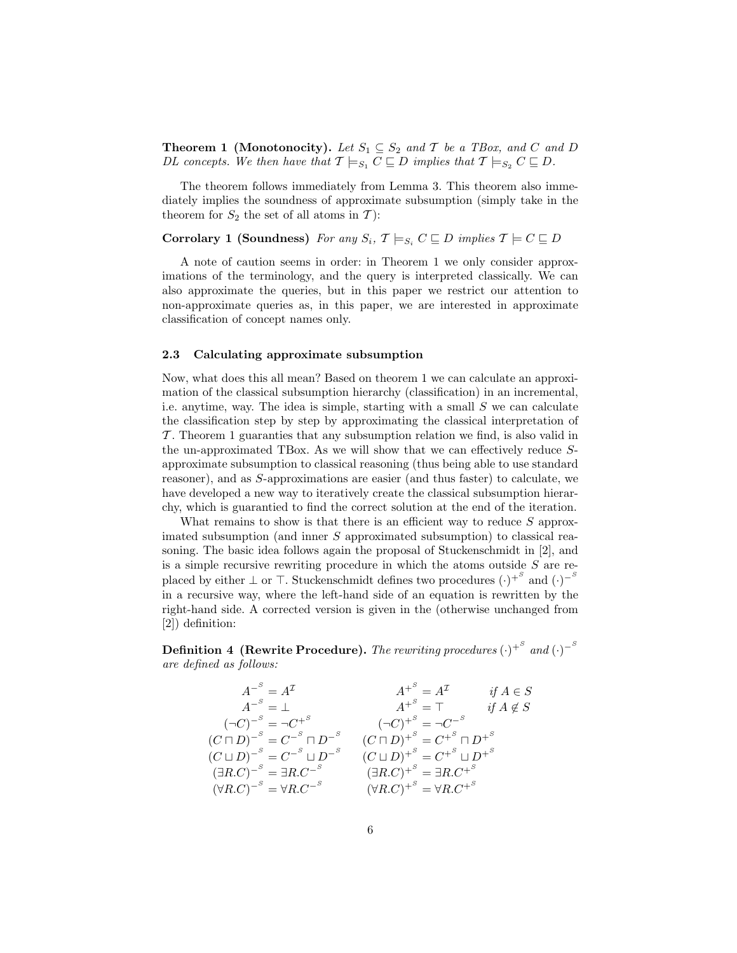**Theorem 1 (Monotonocity).** Let  $S_1 \subseteq S_2$  and  $T$  be a TBox, and C and D DL concepts. We then have that  $\mathcal{T} \models_{S_1} C \sqsubseteq D$  implies that  $\mathcal{T} \models_{S_2} C \sqsubseteq D$ .

The theorem follows immediately from Lemma 3. This theorem also immediately implies the soundness of approximate subsumption (simply take in the theorem for  $S_2$  the set of all atoms in T):

# Corrolary 1 (Soundness) For any  $S_i$ ,  $\mathcal{T} \models_{S_i} C \sqsubseteq D$  implies  $\mathcal{T} \models C \sqsubseteq D$

A note of caution seems in order: in Theorem 1 we only consider approximations of the terminology, and the query is interpreted classically. We can also approximate the queries, but in this paper we restrict our attention to non-approximate queries as, in this paper, we are interested in approximate classification of concept names only.

#### 2.3 Calculating approximate subsumption

Now, what does this all mean? Based on theorem 1 we can calculate an approximation of the classical subsumption hierarchy (classification) in an incremental, i.e. anytime, way. The idea is simple, starting with a small  $S$  we can calculate the classification step by step by approximating the classical interpretation of T . Theorem 1 guaranties that any subsumption relation we find, is also valid in the un-approximated TBox. As we will show that we can effectively reduce Sapproximate subsumption to classical reasoning (thus being able to use standard reasoner), and as S-approximations are easier (and thus faster) to calculate, we have developed a new way to iteratively create the classical subsumption hierarchy, which is guarantied to find the correct solution at the end of the iteration.

What remains to show is that there is an efficient way to reduce  $S$  approximated subsumption (and inner S approximated subsumption) to classical reasoning. The basic idea follows again the proposal of Stuckenschmidt in [2], and is a simple recursive rewriting procedure in which the atoms outside  $S$  are replaced by either  $\perp$  or  $\top$ . Stuckenschmidt defines two procedures  $(\cdot)^{+^S}$  and  $(\cdot)^{-^S}$ in a recursive way, where the left-hand side of an equation is rewritten by the right-hand side. A corrected version is given in the (otherwise unchanged from [2]) definition:

Definition 4 (Rewrite Procedure). The rewriting procedures  $\left(\cdot\right)^{+^S}$  and  $\left(\cdot\right)^{-^S}$ are defined as follows:

A<sup>−</sup><sup>S</sup> = A<sup>I</sup> A<sup>+</sup><sup>S</sup> = A<sup>I</sup> if A ∈ S A<sup>−</sup><sup>S</sup> = ⊥ A<sup>+</sup><sup>S</sup> = > if A 6∈ S (¬C) −<sup>S</sup> = ¬C +<sup>S</sup> (¬C) +<sup>S</sup> = ¬C −<sup>S</sup> (C u D) −<sup>S</sup> = C −<sup>S</sup> u D<sup>−</sup><sup>S</sup> (C u D) +<sup>S</sup> = C +<sup>S</sup> u D<sup>+</sup><sup>S</sup> (C t D) −<sup>S</sup> = C −<sup>S</sup> t D<sup>−</sup><sup>S</sup> (C t D) +<sup>S</sup> = C +<sup>S</sup> t D<sup>+</sup><sup>S</sup> (∃R.C) −<sup>S</sup> = ∃R.C<sup>−</sup><sup>S</sup> (∃R.C) +<sup>S</sup> = ∃R.C<sup>+</sup><sup>S</sup> (∀R.C) −<sup>S</sup> = ∀R.C<sup>−</sup><sup>S</sup> (∀R.C) +<sup>S</sup> = ∀R.C<sup>+</sup><sup>S</sup>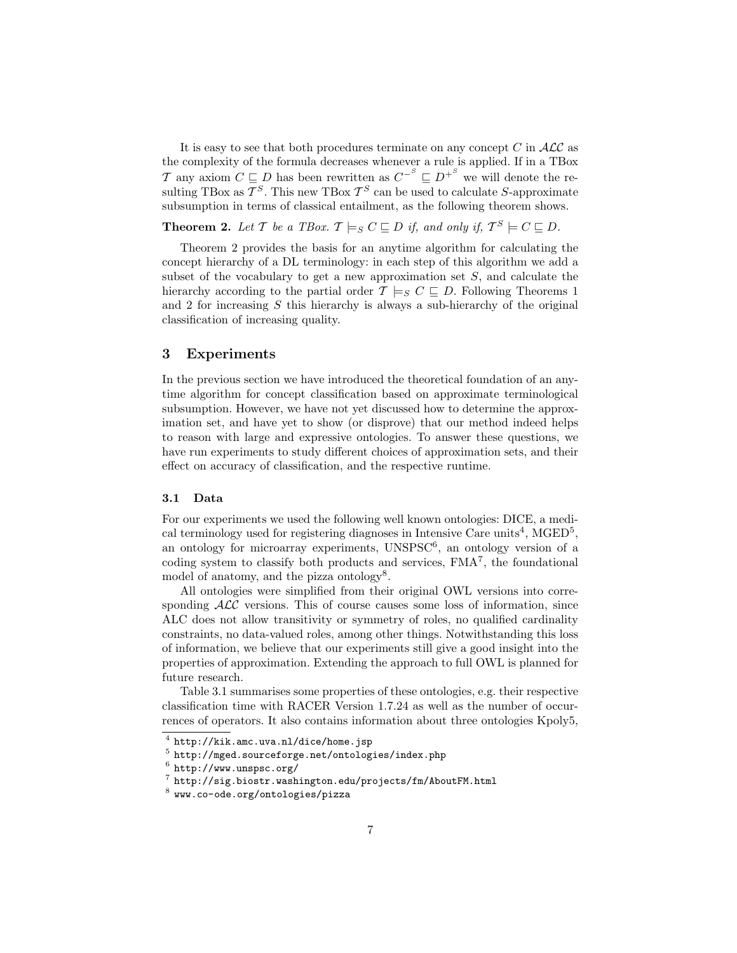It is easy to see that both procedures terminate on any concept  $C$  in  $\mathcal{ALC}$  as the complexity of the formula decreases whenever a rule is applied. If in a TBox T any axiom  $C \subseteq D$  has been rewritten as  $C^{-S} \subseteq D^{+S}$  we will denote the resulting TBox as  $\mathcal{T}^S$ . This new TBox  $\mathcal{T}^S$  can be used to calculate S-approximate subsumption in terms of classical entailment, as the following theorem shows.

**Theorem 2.** Let T be a TBox.  $\mathcal{T} \models_S C \sqsubseteq D$  if, and only if,  $\mathcal{T}^S \models C \sqsubseteq D$ .

Theorem 2 provides the basis for an anytime algorithm for calculating the concept hierarchy of a DL terminology: in each step of this algorithm we add a subset of the vocabulary to get a new approximation set  $S$ , and calculate the hierarchy according to the partial order  $\mathcal{T} \models_S C \sqsubseteq D$ . Following Theorems 1 and 2 for increasing S this hierarchy is always a sub-hierarchy of the original classification of increasing quality.

## 3 Experiments

In the previous section we have introduced the theoretical foundation of an anytime algorithm for concept classification based on approximate terminological subsumption. However, we have not yet discussed how to determine the approximation set, and have yet to show (or disprove) that our method indeed helps to reason with large and expressive ontologies. To answer these questions, we have run experiments to study different choices of approximation sets, and their effect on accuracy of classification, and the respective runtime.

### 3.1 Data

For our experiments we used the following well known ontologies: DICE, a medical terminology used for registering diagnoses in Intensive Care units<sup>4</sup>, MGED<sup>5</sup>, an ontology for microarray experiments, UNSPSC<sup>6</sup>, an ontology version of a coding system to classify both products and services, FMA<sup>7</sup> , the foundational model of anatomy, and the pizza ontology<sup>8</sup>.

All ontologies were simplified from their original OWL versions into corresponding  $\mathcal{ALC}$  versions. This of course causes some loss of information, since ALC does not allow transitivity or symmetry of roles, no qualified cardinality constraints, no data-valued roles, among other things. Notwithstanding this loss of information, we believe that our experiments still give a good insight into the properties of approximation. Extending the approach to full OWL is planned for future research.

Table 3.1 summarises some properties of these ontologies, e.g. their respective classification time with RACER Version 1.7.24 as well as the number of occurrences of operators. It also contains information about three ontologies Kpoly5,

 $^4$  http://kik.amc.uva.nl/dice/home.jsp

 $^5$  http://mged.sourceforge.net/ontologies/index.php

 $^6$  http://www.unspsc.org/

 $\frac{7}{7}$  http://sig.biostr.washington.edu/projects/fm/AboutFM.html

 $^8$  www.co-ode.org/ontologies/pizza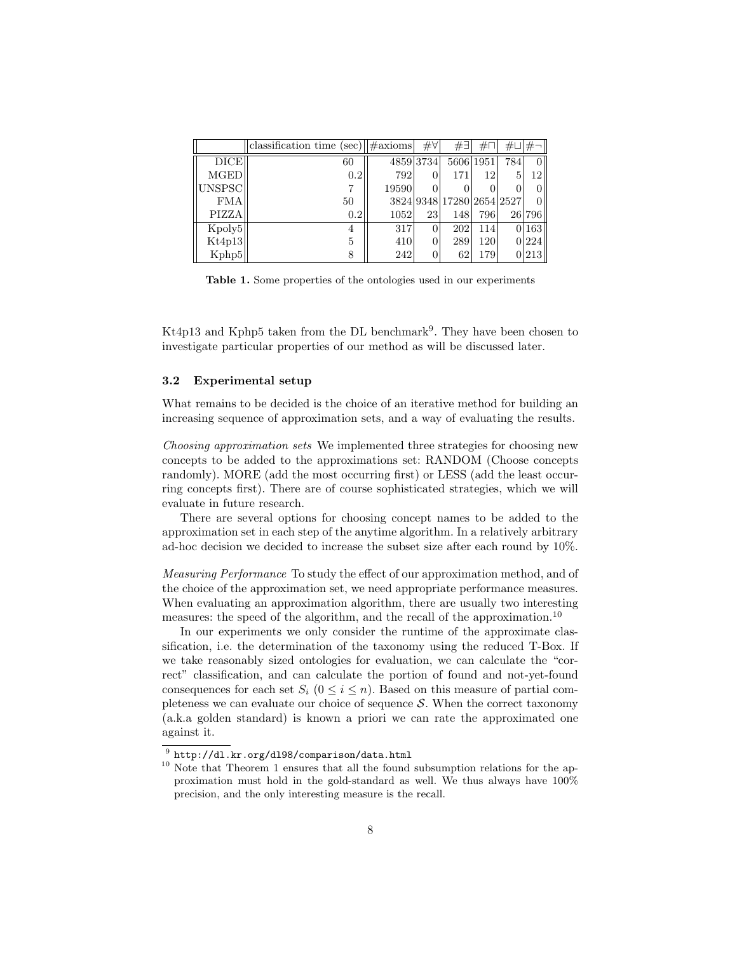|             | classification time (sec) $ \#axioms $ |       | $\#\forall$ | #∃                        | $\#\Box$  | #⊔ #¬ |        |
|-------------|----------------------------------------|-------|-------------|---------------------------|-----------|-------|--------|
| <b>DICE</b> | 60                                     |       | 4859 3734   |                           | 5606 1951 | 784   |        |
| <b>MGED</b> | 0.2                                    | 792   |             | 171                       | 12        | 5     | 12     |
| UNSPSC      |                                        | 19590 |             |                           |           |       |        |
| FMA         | 50                                     |       |             | 3824 9348 17280 2654 2527 |           |       |        |
| PIZZA       | 0.2                                    | 1052  | 23          | 148                       | 796       |       | 26 796 |
| Kpoly5      | 4                                      | 317   |             | 202                       | 114       |       | 163    |
| Kt4p13      | 5                                      | 410   |             | 289                       | 120       |       | 0 224  |
| Kphp5       | 8                                      | 242   |             | 62                        | 179       |       | 0 213  |

Table 1. Some properties of the ontologies used in our experiments

Kt4p13 and Kphp5 taken from the DL benchmark<sup>9</sup>. They have been chosen to investigate particular properties of our method as will be discussed later.

#### 3.2 Experimental setup

What remains to be decided is the choice of an iterative method for building an increasing sequence of approximation sets, and a way of evaluating the results.

Choosing approximation sets We implemented three strategies for choosing new concepts to be added to the approximations set: RANDOM (Choose concepts randomly). MORE (add the most occurring first) or LESS (add the least occurring concepts first). There are of course sophisticated strategies, which we will evaluate in future research.

There are several options for choosing concept names to be added to the approximation set in each step of the anytime algorithm. In a relatively arbitrary ad-hoc decision we decided to increase the subset size after each round by 10%.

Measuring Performance To study the effect of our approximation method, and of the choice of the approximation set, we need appropriate performance measures. When evaluating an approximation algorithm, there are usually two interesting measures: the speed of the algorithm, and the recall of the approximation.<sup>10</sup>

In our experiments we only consider the runtime of the approximate classification, i.e. the determination of the taxonomy using the reduced T-Box. If we take reasonably sized ontologies for evaluation, we can calculate the "correct" classification, and can calculate the portion of found and not-yet-found consequences for each set  $S_i$  ( $0 \le i \le n$ ). Based on this measure of partial completeness we can evaluate our choice of sequence  $S$ . When the correct taxonomy (a.k.a golden standard) is known a priori we can rate the approximated one against it.

 $^9$  http://dl.kr.org/dl98/comparison/data.html

<sup>&</sup>lt;sup>10</sup> Note that Theorem 1 ensures that all the found subsumption relations for the approximation must hold in the gold-standard as well. We thus always have 100% precision, and the only interesting measure is the recall.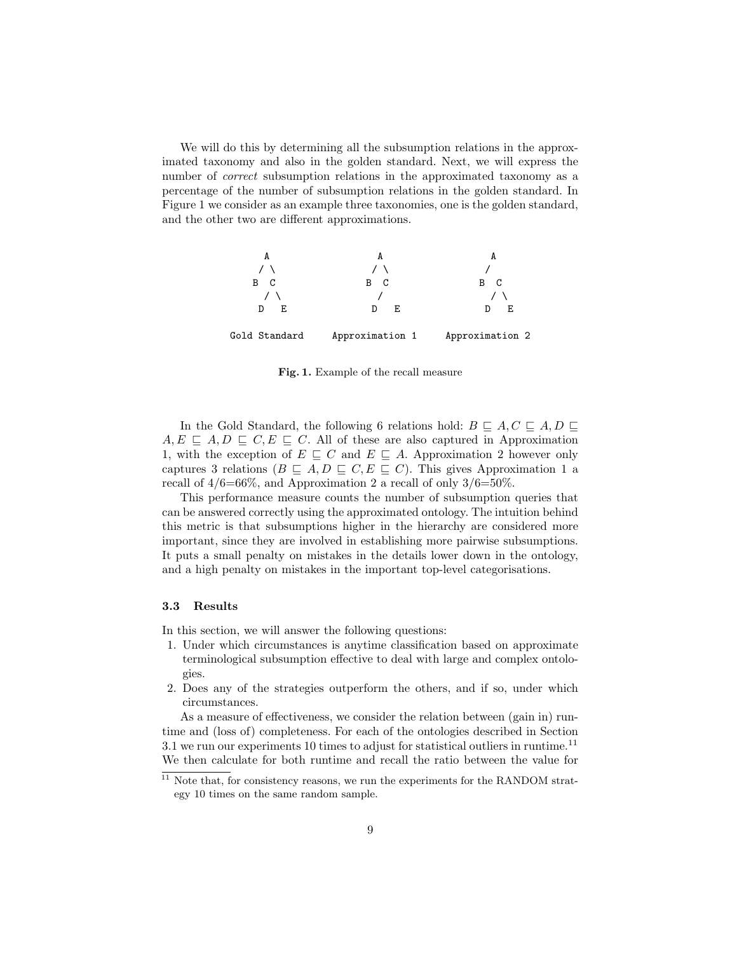We will do this by determining all the subsumption relations in the approximated taxonomy and also in the golden standard. Next, we will express the number of *correct* subsumption relations in the approximated taxonomy as a percentage of the number of subsumption relations in the golden standard. In Figure 1 we consider as an example three taxonomies, one is the golden standard, and the other two are different approximations.



Fig. 1. Example of the recall measure

In the Gold Standard, the following 6 relations hold:  $B \subseteq A, C \subseteq A, D \subseteq \emptyset$  $A, E \subseteq A, D \subseteq C, E \subseteq C$ . All of these are also captured in Approximation 1, with the exception of  $E \subseteq C$  and  $E \subseteq A$ . Approximation 2 however only captures 3 relations  $(B \subseteq A, D \subseteq C, E \subseteq C)$ . This gives Approximation 1 a recall of  $4/6=66\%$ , and Approximation 2 a recall of only  $3/6=50\%$ .

This performance measure counts the number of subsumption queries that can be answered correctly using the approximated ontology. The intuition behind this metric is that subsumptions higher in the hierarchy are considered more important, since they are involved in establishing more pairwise subsumptions. It puts a small penalty on mistakes in the details lower down in the ontology, and a high penalty on mistakes in the important top-level categorisations.

#### 3.3 Results

In this section, we will answer the following questions:

- 1. Under which circumstances is anytime classification based on approximate terminological subsumption effective to deal with large and complex ontologies.
- 2. Does any of the strategies outperform the others, and if so, under which circumstances.

As a measure of effectiveness, we consider the relation between (gain in) runtime and (loss of) completeness. For each of the ontologies described in Section 3.1 we run our experiments 10 times to adjust for statistical outliers in runtime.<sup>11</sup> We then calculate for both runtime and recall the ratio between the value for

 $11$  Note that, for consistency reasons, we run the experiments for the RANDOM strategy 10 times on the same random sample.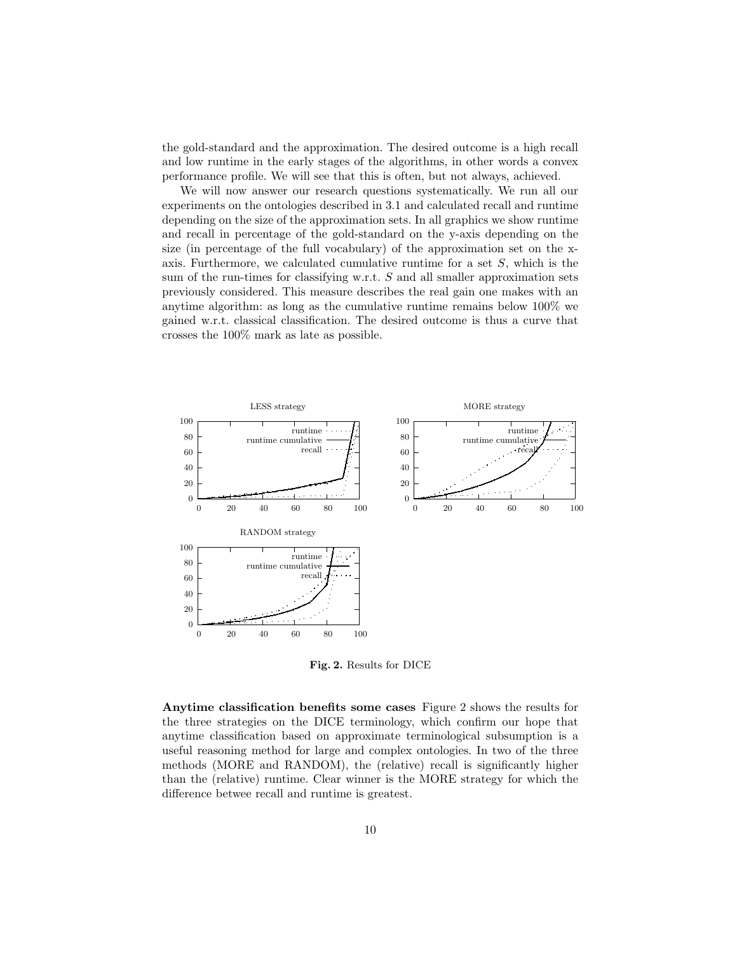the gold-standard and the approximation. The desired outcome is a high recall and low runtime in the early stages of the algorithms, in other words a convex performance profile. We will see that this is often, but not always, achieved.

We will now answer our research questions systematically. We run all our experiments on the ontologies described in 3.1 and calculated recall and runtime depending on the size of the approximation sets. In all graphics we show runtime and recall in percentage of the gold-standard on the y-axis depending on the size (in percentage of the full vocabulary) of the approximation set on the xaxis. Furthermore, we calculated cumulative runtime for a set  $S$ , which is the sum of the run-times for classifying w.r.t. S and all smaller approximation sets previously considered. This measure describes the real gain one makes with an anytime algorithm: as long as the cumulative runtime remains below 100% we gained w.r.t. classical classification. The desired outcome is thus a curve that crosses the 100% mark as late as possible.



Fig. 2. Results for DICE

Anytime classification benefits some cases Figure 2 shows the results for the three strategies on the DICE terminology, which confirm our hope that anytime classification based on approximate terminological subsumption is a useful reasoning method for large and complex ontologies. In two of the three methods (MORE and RANDOM), the (relative) recall is significantly higher than the (relative) runtime. Clear winner is the MORE strategy for which the difference betwee recall and runtime is greatest.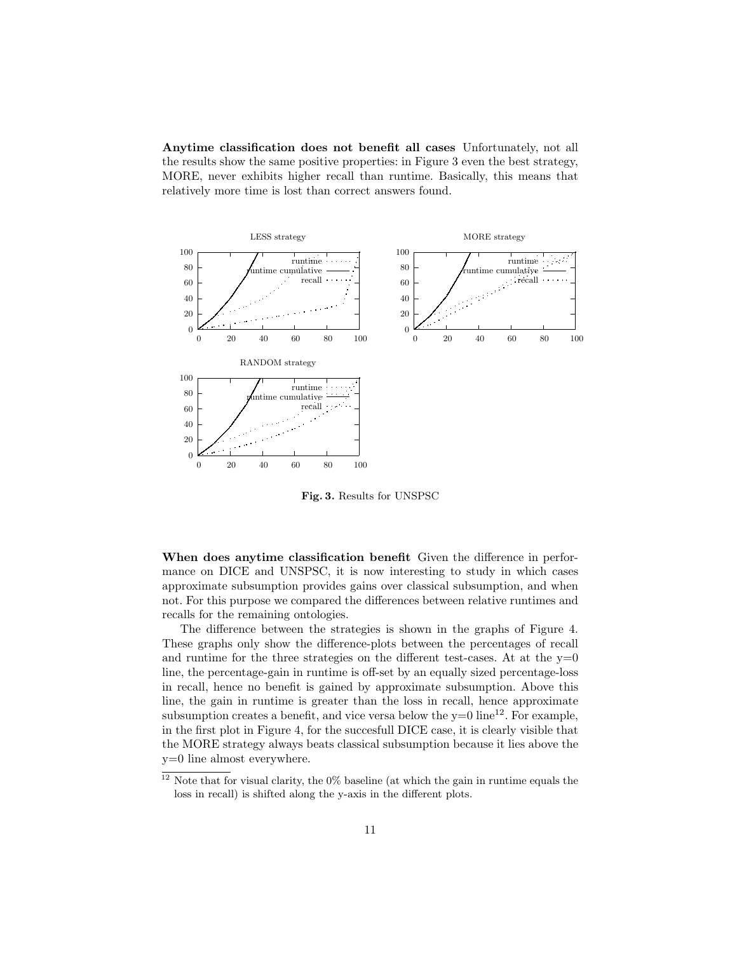Anytime classification does not benefit all cases Unfortunately, not all the results show the same positive properties: in Figure 3 even the best strategy, MORE, never exhibits higher recall than runtime. Basically, this means that relatively more time is lost than correct answers found.



Fig. 3. Results for UNSPSC

When does anytime classification benefit Given the difference in performance on DICE and UNSPSC, it is now interesting to study in which cases approximate subsumption provides gains over classical subsumption, and when not. For this purpose we compared the differences between relative runtimes and recalls for the remaining ontologies.

The difference between the strategies is shown in the graphs of Figure 4. These graphs only show the difference-plots between the percentages of recall and runtime for the three strategies on the different test-cases. At at the  $y=0$ line, the percentage-gain in runtime is off-set by an equally sized percentage-loss in recall, hence no benefit is gained by approximate subsumption. Above this line, the gain in runtime is greater than the loss in recall, hence approximate subsumption creates a benefit, and vice versa below the  $y=0$  line<sup>12</sup>. For example, in the first plot in Figure 4, for the succesfull DICE case, it is clearly visible that the MORE strategy always beats classical subsumption because it lies above the y=0 line almost everywhere.

 $12$  Note that for visual clarity, the 0% baseline (at which the gain in runtime equals the loss in recall) is shifted along the y-axis in the different plots.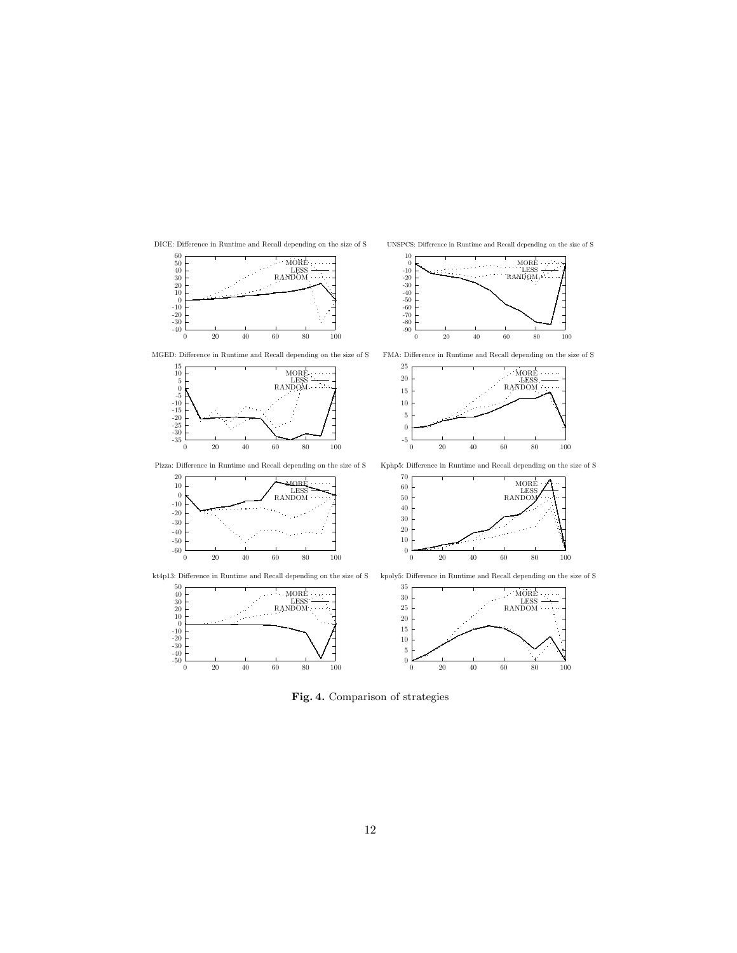

10

DICE: Difference in Runtime and Recall depending on the size of S

UNSPCS: Difference in Runtime and Recall depending on the size of S

MORE

0 20 40 60 80 100

 $0\frac{1}{0}$ 0 20 40 60 80 100

Fig. 4. Comparison of strategies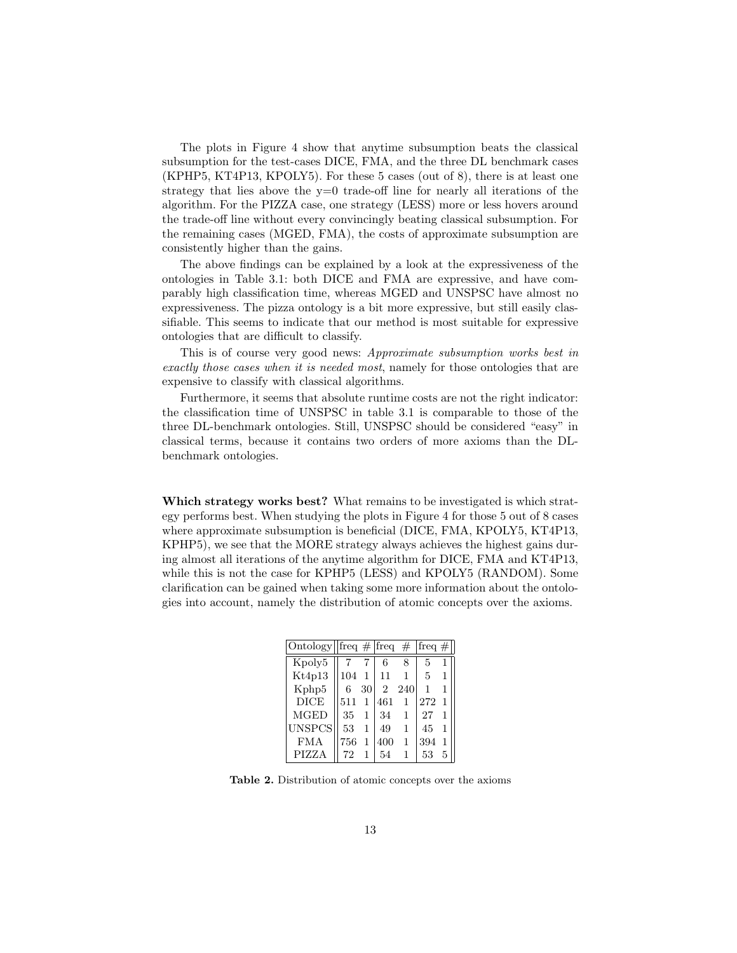The plots in Figure 4 show that anytime subsumption beats the classical subsumption for the test-cases DICE, FMA, and the three DL benchmark cases (KPHP5, KT4P13, KPOLY5). For these 5 cases (out of 8), there is at least one strategy that lies above the  $y=0$  trade-off line for nearly all iterations of the algorithm. For the PIZZA case, one strategy (LESS) more or less hovers around the trade-off line without every convincingly beating classical subsumption. For the remaining cases (MGED, FMA), the costs of approximate subsumption are consistently higher than the gains.

The above findings can be explained by a look at the expressiveness of the ontologies in Table 3.1: both DICE and FMA are expressive, and have comparably high classification time, whereas MGED and UNSPSC have almost no expressiveness. The pizza ontology is a bit more expressive, but still easily classifiable. This seems to indicate that our method is most suitable for expressive ontologies that are difficult to classify.

This is of course very good news: Approximate subsumption works best in exactly those cases when it is needed most, namely for those ontologies that are expensive to classify with classical algorithms.

Furthermore, it seems that absolute runtime costs are not the right indicator: the classification time of UNSPSC in table 3.1 is comparable to those of the three DL-benchmark ontologies. Still, UNSPSC should be considered "easy" in classical terms, because it contains two orders of more axioms than the DLbenchmark ontologies.

Which strategy works best? What remains to be investigated is which strategy performs best. When studying the plots in Figure 4 for those 5 out of 8 cases where approximate subsumption is beneficial (DICE, FMA, KPOLY5, KT4P13, KPHP5), we see that the MORE strategy always achieves the highest gains during almost all iterations of the anytime algorithm for DICE, FMA and KT4P13, while this is not the case for KPHP5 (LESS) and KPOLY5 (RANDOM). Some clarification can be gained when taking some more information about the ontologies into account, namely the distribution of atomic concepts over the axioms.

| Ontology freq # $\text{freq}$ # |     |              |     |     | $ freq \#$   |   |
|---------------------------------|-----|--------------|-----|-----|--------------|---|
| Kpoly5                          |     |              | 6   | 8   | 5            |   |
| Kt4p13                          | 104 | 1            | 11  |     | $\mathbf{5}$ | 1 |
| Kphp5                           | 6   | 301          | 2   | 240 |              | 1 |
| <b>DICE</b>                     | 511 | 1            | 461 | 1   | 272          | 1 |
| <b>MGED</b>                     | 35  | 1            | 34  | 1   | 27           | 1 |
| UNSPCS                          | 53  | $\mathbf{1}$ | 49  | 1   | 45           | 1 |
| <b>FMA</b>                      | 756 | 1            | 400 | 1   | 394          | 1 |
| PIZZA                           |     |              | 54  |     | 53           | 5 |

Table 2. Distribution of atomic concepts over the axioms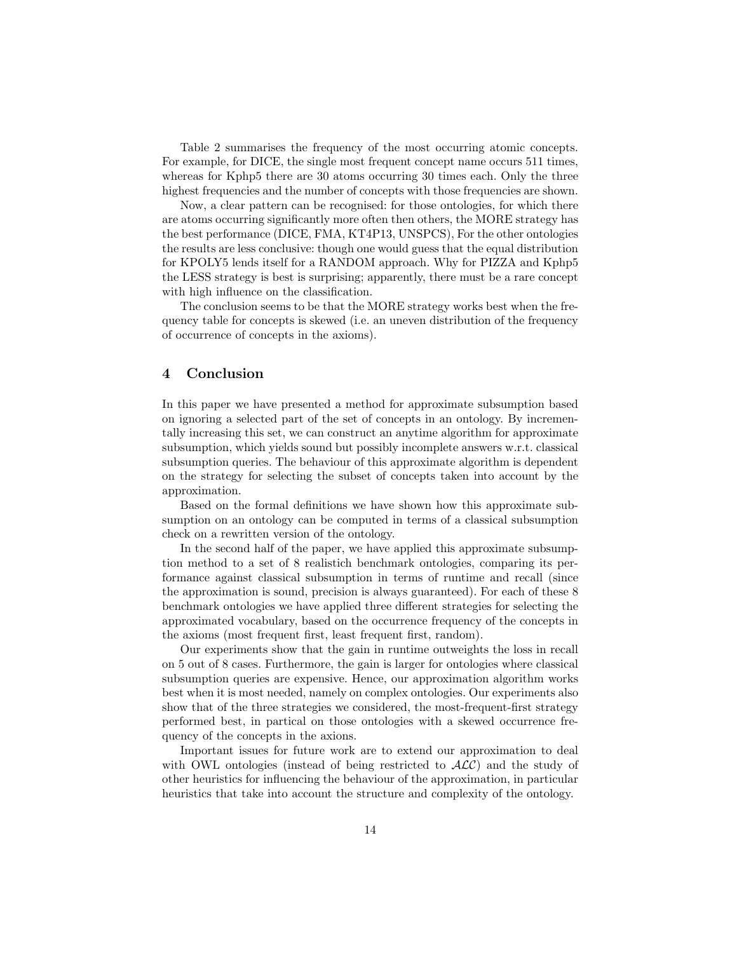Table 2 summarises the frequency of the most occurring atomic concepts. For example, for DICE, the single most frequent concept name occurs 511 times, whereas for Kphp5 there are 30 atoms occurring 30 times each. Only the three highest frequencies and the number of concepts with those frequencies are shown.

Now, a clear pattern can be recognised: for those ontologies, for which there are atoms occurring significantly more often then others, the MORE strategy has the best performance (DICE, FMA, KT4P13, UNSPCS), For the other ontologies the results are less conclusive: though one would guess that the equal distribution for KPOLY5 lends itself for a RANDOM approach. Why for PIZZA and Kphp5 the LESS strategy is best is surprising; apparently, there must be a rare concept with high influence on the classification.

The conclusion seems to be that the MORE strategy works best when the frequency table for concepts is skewed (i.e. an uneven distribution of the frequency of occurrence of concepts in the axioms).

## 4 Conclusion

In this paper we have presented a method for approximate subsumption based on ignoring a selected part of the set of concepts in an ontology. By incrementally increasing this set, we can construct an anytime algorithm for approximate subsumption, which yields sound but possibly incomplete answers w.r.t. classical subsumption queries. The behaviour of this approximate algorithm is dependent on the strategy for selecting the subset of concepts taken into account by the approximation.

Based on the formal definitions we have shown how this approximate subsumption on an ontology can be computed in terms of a classical subsumption check on a rewritten version of the ontology.

In the second half of the paper, we have applied this approximate subsumption method to a set of 8 realistich benchmark ontologies, comparing its performance against classical subsumption in terms of runtime and recall (since the approximation is sound, precision is always guaranteed). For each of these 8 benchmark ontologies we have applied three different strategies for selecting the approximated vocabulary, based on the occurrence frequency of the concepts in the axioms (most frequent first, least frequent first, random).

Our experiments show that the gain in runtime outweights the loss in recall on 5 out of 8 cases. Furthermore, the gain is larger for ontologies where classical subsumption queries are expensive. Hence, our approximation algorithm works best when it is most needed, namely on complex ontologies. Our experiments also show that of the three strategies we considered, the most-frequent-first strategy performed best, in partical on those ontologies with a skewed occurrence frequency of the concepts in the axions.

Important issues for future work are to extend our approximation to deal with OWL ontologies (instead of being restricted to  $\mathcal{ALC}$ ) and the study of other heuristics for influencing the behaviour of the approximation, in particular heuristics that take into account the structure and complexity of the ontology.